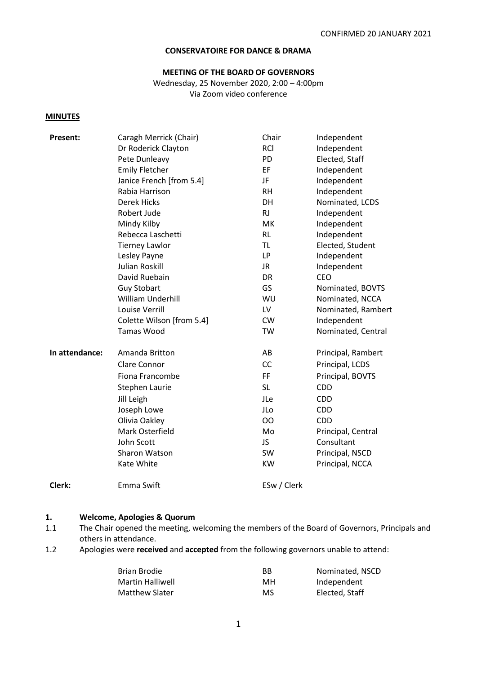## **CONSERVATOIRE FOR DANCE & DRAMA**

# **MEETING OF THE BOARD OF GOVERNORS**

Wednesday, 25 November 2020, 2:00 – 4:00pm Via Zoom video conference

#### **MINUTES**

| <b>Present:</b> | Caragh Merrick (Chair)    | Chair       | Independent        |
|-----------------|---------------------------|-------------|--------------------|
|                 | Dr Roderick Clayton       | <b>RCI</b>  | Independent        |
|                 | Pete Dunleavy             | PD          | Elected, Staff     |
|                 | <b>Emily Fletcher</b>     | EF          | Independent        |
|                 | Janice French [from 5.4]  | JF.         | Independent        |
|                 | Rabia Harrison            | <b>RH</b>   | Independent        |
|                 | <b>Derek Hicks</b>        | DH          | Nominated, LCDS    |
|                 | Robert Jude               | <b>RJ</b>   | Independent        |
|                 | Mindy Kilby               | MK          | Independent        |
|                 | Rebecca Laschetti         | <b>RL</b>   | Independent        |
|                 | <b>Tierney Lawlor</b>     | <b>TL</b>   | Elected, Student   |
|                 | Lesley Payne              | <b>LP</b>   | Independent        |
|                 | <b>Julian Roskill</b>     | <b>JR</b>   | Independent        |
|                 | David Ruebain             | DR          | <b>CEO</b>         |
|                 | <b>Guy Stobart</b>        | GS          | Nominated, BOVTS   |
|                 | William Underhill         | WU          | Nominated, NCCA    |
|                 | Louise Verrill            | LV          | Nominated, Rambert |
|                 | Colette Wilson [from 5.4] | <b>CW</b>   | Independent        |
|                 | Tamas Wood                | <b>TW</b>   | Nominated, Central |
| In attendance:  | Amanda Britton            | AB          | Principal, Rambert |
|                 | Clare Connor              | CC          | Principal, LCDS    |
|                 | Fiona Francombe           | <b>FF</b>   | Principal, BOVTS   |
|                 | Stephen Laurie            | <b>SL</b>   | <b>CDD</b>         |
|                 | Jill Leigh                | JLe         | <b>CDD</b>         |
|                 | Joseph Lowe               | JLo         | <b>CDD</b>         |
|                 | Olivia Oakley             | <b>OO</b>   | <b>CDD</b>         |
|                 | Mark Osterfield           | Mo          | Principal, Central |
|                 | John Scott                | JS          | Consultant         |
|                 | Sharon Watson             | SW          | Principal, NSCD    |
|                 | Kate White                | <b>KW</b>   | Principal, NCCA    |
| Clerk:          | Emma Swift                | ESw / Clerk |                    |

#### **1. Welcome, Apologies & Quorum**

- 1.1 The Chair opened the meeting, welcoming the members of the Board of Governors, Principals and others in attendance.
- 1.2 Apologies were **received** and **accepted** from the following governors unable to attend:

| Brian Brodie            | ВB  | Nominated, NSCD |
|-------------------------|-----|-----------------|
| <b>Martin Halliwell</b> | MН  | Independent     |
| <b>Matthew Slater</b>   | MS. | Elected, Staff  |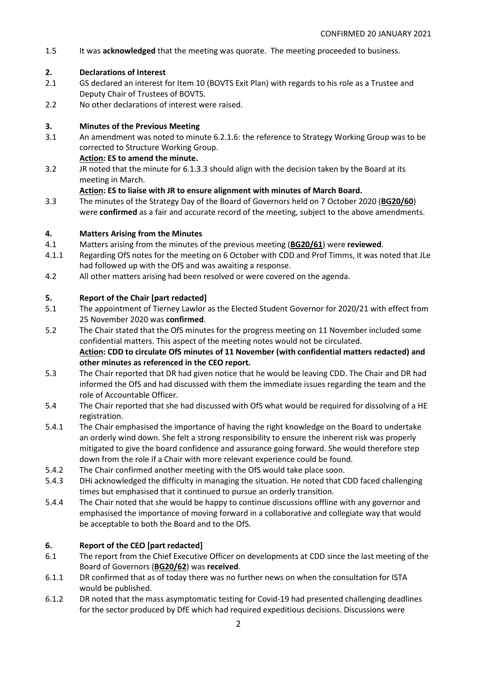1.5 It was **acknowledged** that the meeting was quorate. The meeting proceeded to business.

# **2. Declarations of Interest**

- 2.1 GS declared an interest for Item 10 (BOVTS Exit Plan) with regards to his role as a Trustee and Deputy Chair of Trustees of BOVTS.
- 2.2 No other declarations of interest were raised.

# **3. Minutes of the Previous Meeting**

3.1 An amendment was noted to minute 6.2.1.6: the reference to Strategy Working Group was to be corrected to Structure Working Group.

## **Action: ES to amend the minute.**

3.2 JR noted that the minute for 6.1.3.3 should align with the decision taken by the Board at its meeting in March.

## **Action: ES to liaise with JR to ensure alignment with minutes of March Board.**

3.3 The minutes of the Strategy Day of the Board of Governors held on 7 October 2020 (**BG20/60**) were **confirmed** as a fair and accurate record of the meeting, subject to the above amendments.

# **4. Matters Arising from the Minutes**

- 4.1 Matters arising from the minutes of the previous meeting (**BG20/61**) were **reviewed**.
- 4.1.1 Regarding OfS notes for the meeting on 6 October with CDD and Prof Timms, it was noted that JLe had followed up with the OfS and was awaiting a response.
- 4.2 All other matters arising had been resolved or were covered on the agenda.

# **5. Report of the Chair [part redacted]**

- 5.1 The appointment of Tierney Lawlor as the Elected Student Governor for 2020/21 with effect from 25 November 2020 was **confirmed**.
- 5.2 The Chair stated that the OfS minutes for the progress meeting on 11 November included some confidential matters. This aspect of the meeting notes would not be circulated. **Action: CDD to circulate OfS minutes of 11 November (with confidential matters redacted) and other minutes as referenced in the CEO report.**
- 5.3 The Chair reported that DR had given notice that he would be leaving CDD. The Chair and DR had informed the OfS and had discussed with them the immediate issues regarding the team and the role of Accountable Officer.
- 5.4 The Chair reported that she had discussed with OfS what would be required for dissolving of a HE registration.
- 5.4.1 The Chair emphasised the importance of having the right knowledge on the Board to undertake an orderly wind down. She felt a strong responsibility to ensure the inherent risk was properly mitigated to give the board confidence and assurance going forward. She would therefore step down from the role if a Chair with more relevant experience could be found.
- 5.4.2 The Chair confirmed another meeting with the OfS would take place soon.
- 5.4.3 DHi acknowledged the difficulty in managing the situation. He noted that CDD faced challenging times but emphasised that it continued to pursue an orderly transition.
- 5.4.4 The Chair noted that she would be happy to continue discussions offline with any governor and emphasised the importance of moving forward in a collaborative and collegiate way that would be acceptable to both the Board and to the OfS.

# **6. Report of the CEO [part redacted]**

- 6.1 The report from the Chief Executive Officer on developments at CDD since the last meeting of the Board of Governors (**BG20/62**) was **received**.
- 6.1.1 DR confirmed that as of today there was no further news on when the consultation for ISTA would be published.
- 6.1.2 DR noted that the mass asymptomatic testing for Covid-19 had presented challenging deadlines for the sector produced by DfE which had required expeditious decisions. Discussions were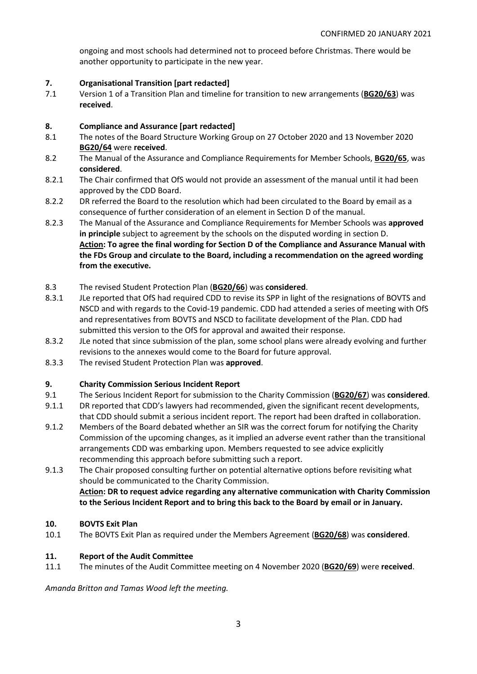ongoing and most schools had determined not to proceed before Christmas. There would be another opportunity to participate in the new year.

#### **7. Organisational Transition [part redacted]**

7.1 Version 1 of a Transition Plan and timeline for transition to new arrangements (**BG20/63**) was **received**.

#### **8. Compliance and Assurance [part redacted]**

- 8.1 The notes of the Board Structure Working Group on 27 October 2020 and 13 November 2020 **BG20/64** were **received**.
- 8.2 The Manual of the Assurance and Compliance Requirements for Member Schools, **BG20/65**, was **considered**.
- 8.2.1 The Chair confirmed that OfS would not provide an assessment of the manual until it had been approved by the CDD Board.
- 8.2.2 DR referred the Board to the resolution which had been circulated to the Board by email as a consequence of further consideration of an element in Section D of the manual.
- 8.2.3 The Manual of the Assurance and Compliance Requirements for Member Schools was **approved in principle** subject to agreement by the schools on the disputed wording in section D. **Action: To agree the final wording for Section D of the Compliance and Assurance Manual with the FDs Group and circulate to the Board, including a recommendation on the agreed wording from the executive.**
- 8.3 The revised Student Protection Plan (**BG20/66**) was **considered**.
- 8.3.1 JLe reported that OfS had required CDD to revise its SPP in light of the resignations of BOVTS and NSCD and with regards to the Covid-19 pandemic. CDD had attended a series of meeting with OfS and representatives from BOVTS and NSCD to facilitate development of the Plan. CDD had submitted this version to the OfS for approval and awaited their response.
- 8.3.2 JLe noted that since submission of the plan, some school plans were already evolving and further revisions to the annexes would come to the Board for future approval.
- 8.3.3 The revised Student Protection Plan was **approved**.

#### **9. Charity Commission Serious Incident Report**

- 9.1 The Serious Incident Report for submission to the Charity Commission (**BG20/67**) was **considered**.
- 9.1.1 DR reported that CDD's lawyers had recommended, given the significant recent developments, that CDD should submit a serious incident report. The report had been drafted in collaboration.
- 9.1.2 Members of the Board debated whether an SIR was the correct forum for notifying the Charity Commission of the upcoming changes, as it implied an adverse event rather than the transitional arrangements CDD was embarking upon. Members requested to see advice explicitly recommending this approach before submitting such a report.
- 9.1.3 The Chair proposed consulting further on potential alternative options before revisiting what should be communicated to the Charity Commission. **Action: DR to request advice regarding any alternative communication with Charity Commission to the Serious Incident Report and to bring this back to the Board by email or in January.**

## **10. BOVTS Exit Plan**

10.1 The BOVTS Exit Plan as required under the Members Agreement (**BG20/68**) was **considered**.

#### **11. Report of the Audit Committee**

11.1 The minutes of the Audit Committee meeting on 4 November 2020 (**BG20/69**) were **received**.

*Amanda Britton and Tamas Wood left the meeting.*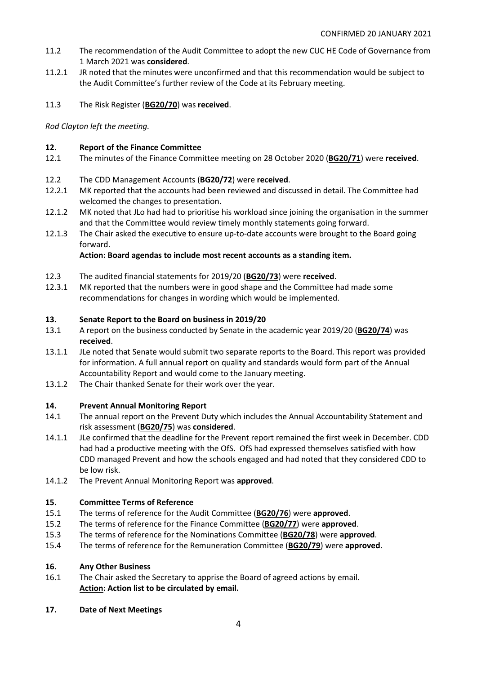- 11.2 The recommendation of the Audit Committee to adopt the new CUC HE Code of Governance from 1 March 2021 was **considered**.
- 11.2.1 JR noted that the minutes were unconfirmed and that this recommendation would be subject to the Audit Committee's further review of the Code at its February meeting.
- 11.3 The Risk Register (**BG20/70**) was **received**.

*Rod Clayton left the meeting.*

## **12. Report of the Finance Committee**

- 12.1 The minutes of the Finance Committee meeting on 28 October 2020 (**BG20/71**) were **received**.
- 12.2 The CDD Management Accounts (**BG20/72**) were **received**.
- 12.2.1 MK reported that the accounts had been reviewed and discussed in detail. The Committee had welcomed the changes to presentation.
- 12.1.2 MK noted that JLo had had to prioritise his workload since joining the organisation in the summer and that the Committee would review timely monthly statements going forward.
- 12.1.3 The Chair asked the executive to ensure up-to-date accounts were brought to the Board going forward.

# **Action: Board agendas to include most recent accounts as a standing item.**

- 12.3 The audited financial statements for 2019/20 (**BG20/73**) were **received**.
- 12.3.1 MK reported that the numbers were in good shape and the Committee had made some recommendations for changes in wording which would be implemented.

## **13. Senate Report to the Board on business in 2019/20**

- 13.1 A report on the business conducted by Senate in the academic year 2019/20 (**BG20/74**) was **received**.
- 13.1.1 JLe noted that Senate would submit two separate reports to the Board. This report was provided for information. A full annual report on quality and standards would form part of the Annual Accountability Report and would come to the January meeting.
- 13.1.2 The Chair thanked Senate for their work over the year.

## **14. Prevent Annual Monitoring Report**

- 14.1 The annual report on the Prevent Duty which includes the Annual Accountability Statement and risk assessment (**BG20/75**) was **considered**.
- 14.1.1 JLe confirmed that the deadline for the Prevent report remained the first week in December. CDD had had a productive meeting with the OfS. OfS had expressed themselves satisfied with how CDD managed Prevent and how the schools engaged and had noted that they considered CDD to be low risk.
- 14.1.2 The Prevent Annual Monitoring Report was **approved**.

# **15. Committee Terms of Reference**

- 15.1 The terms of reference for the Audit Committee (**BG20/76**) were **approved**.
- 15.2 The terms of reference for the Finance Committee (**BG20/77**) were **approved**.
- 15.3 The terms of reference for the Nominations Committee (**BG20/78**) were **approved**.
- 15.4 The terms of reference for the Remuneration Committee (**BG20/79**) were **approved**.

## **16. Any Other Business**

- 16.1 The Chair asked the Secretary to apprise the Board of agreed actions by email. **Action: Action list to be circulated by email.**
- **17. Date of Next Meetings**